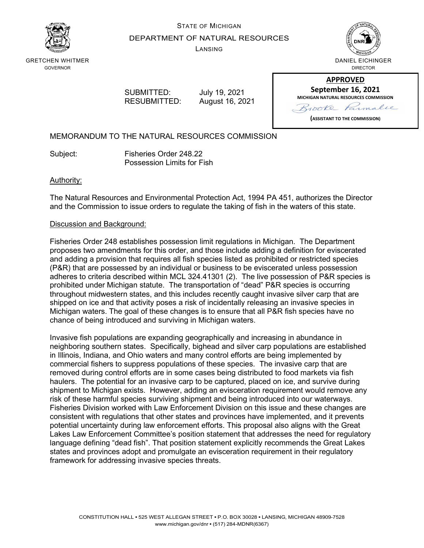

# STATE OF MICHIGAN DEPARTMENT OF NATURAL RESOURCES

LANSING



GRETCHEN WHITMER GOVERNOR

> SUBMITTED: July 19, 2021 RESUBMITTED: August 16, 2021

| <b>APPROVED</b>                              |  |  |
|----------------------------------------------|--|--|
| <b>September 16, 2021</b>                    |  |  |
| <b>MICHIGAN NATURAL RESOURCES COMMISSION</b> |  |  |
| 120<br>$\sqrt{\ell}$                         |  |  |

**APPROVED**

**(ASSISTANT TO THE COMMISSION)**

MEMORANDUM TO THE NATURAL RESOURCES COMMISSION

Subject: Fisheries Order 248.22 Possession Limits for Fish

#### Authority:

The Natural Resources and Environmental Protection Act, 1994 PA 451, authorizes the Director and the Commission to issue orders to regulate the taking of fish in the waters of this state.

#### Discussion and Background:

Fisheries Order 248 establishes possession limit regulations in Michigan. The Department proposes two amendments for this order, and those include adding a definition for eviscerated and adding a provision that requires all fish species listed as prohibited or restricted species (P&R) that are possessed by an individual or business to be eviscerated unless possession adheres to criteria described within MCL 324.41301 (2). The live possession of P&R species is prohibited under Michigan statute. The transportation of "dead" P&R species is occurring throughout midwestern states, and this includes recently caught invasive silver carp that are shipped on ice and that activity poses a risk of incidentally releasing an invasive species in Michigan waters. The goal of these changes is to ensure that all P&R fish species have no chance of being introduced and surviving in Michigan waters.

Invasive fish populations are expanding geographically and increasing in abundance in neighboring southern states. Specifically, bighead and silver carp populations are established in Illinois, Indiana, and Ohio waters and many control efforts are being implemented by commercial fishers to suppress populations of these species. The invasive carp that are removed during control efforts are in some cases being distributed to food markets via fish haulers. The potential for an invasive carp to be captured, placed on ice, and survive during shipment to Michigan exists. However, adding an evisceration requirement would remove any risk of these harmful species surviving shipment and being introduced into our waterways. Fisheries Division worked with Law Enforcement Division on this issue and these changes are consistent with regulations that other states and provinces have implemented, and it prevents potential uncertainty during law enforcement efforts. This proposal also aligns with the Great Lakes Law Enforcement Committee's position statement that addresses the need for regulatory language defining "dead fish". That position statement explicitly recommends the Great Lakes states and provinces adopt and promulgate an evisceration requirement in their regulatory framework for addressing invasive species threats.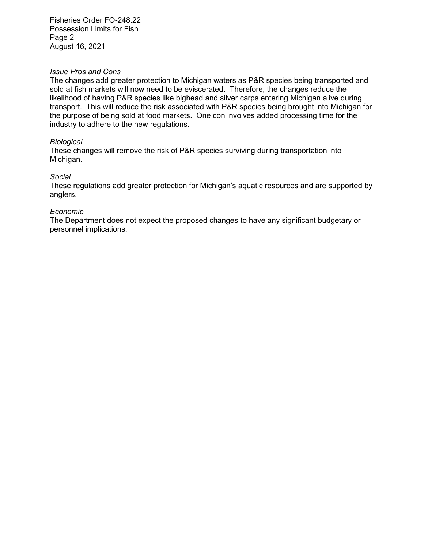Fisheries Order FO-248.22 Possession Limits for Fish Page 2 August 16, 2021

#### *Issue Pros and Cons*

The changes add greater protection to Michigan waters as P&R species being transported and sold at fish markets will now need to be eviscerated. Therefore, the changes reduce the likelihood of having P&R species like bighead and silver carps entering Michigan alive during transport. This will reduce the risk associated with P&R species being brought into Michigan for the purpose of being sold at food markets. One con involves added processing time for the industry to adhere to the new regulations.

#### *Biological*

These changes will remove the risk of P&R species surviving during transportation into Michigan.

#### *Social*

These regulations add greater protection for Michigan's aquatic resources and are supported by anglers.

#### *Economic*

The Department does not expect the proposed changes to have any significant budgetary or personnel implications.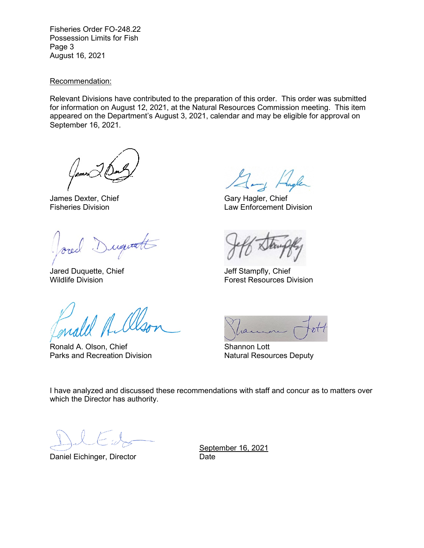Fisheries Order FO-248.22 Possession Limits for Fish Page 3 August 16, 2021

#### Recommendation:

Relevant Divisions have contributed to the preparation of this order. This order was submitted for information on August 12, 2021, at the Natural Resources Commission meeting. This item appeared on the Department's August 3, 2021, calendar and may be eligible for approval on September 16, 2021.

James Dexter, Chief Gary Hagler, Chief

requests

Jared Duquette, Chief Jeff Stampfly, Chief

Ronald A. Olson, Chief Shannon Lott Parks and Recreation Division Natural Resources Deputy

Fisheries Division Law Enforcement Division

Wildlife Division Forest Resources Division

I have analyzed and discussed these recommendations with staff and concur as to matters over which the Director has authority.

Daniel Eichinger, Director **Daniel Eichinger**, Director

September 16, 2021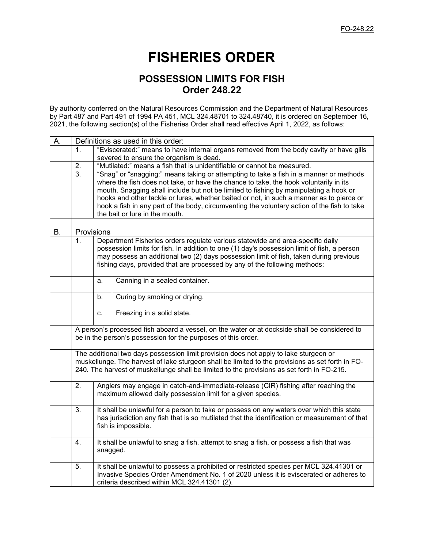# **FISHERIES ORDER**

# **POSSESSION LIMITS FOR FISH Order 248.22**

By authority conferred on the Natural Resources Commission and the Department of Natural Resources by Part 487 and Part 491 of 1994 PA 451, MCL 324.48701 to 324.48740, it is ordered on September 16, 2021, the following section(s) of the Fisheries Order shall read effective April 1, 2022, as follows:

| А. |                  | Definitions as used in this order:                                                                                                                                                                                                                                                                                                                                                                                                                                                                    |                                                                                         |  |  |
|----|------------------|-------------------------------------------------------------------------------------------------------------------------------------------------------------------------------------------------------------------------------------------------------------------------------------------------------------------------------------------------------------------------------------------------------------------------------------------------------------------------------------------------------|-----------------------------------------------------------------------------------------|--|--|
|    | 1.               |                                                                                                                                                                                                                                                                                                                                                                                                                                                                                                       | "Eviscerated:" means to have internal organs removed from the body cavity or have gills |  |  |
|    |                  | severed to ensure the organism is dead.                                                                                                                                                                                                                                                                                                                                                                                                                                                               |                                                                                         |  |  |
|    | 2.               |                                                                                                                                                                                                                                                                                                                                                                                                                                                                                                       | "Mutilated:" means a fish that is unidentifiable or cannot be measured.                 |  |  |
|    | $\overline{3}$ . | "Snag" or "snagging:" means taking or attempting to take a fish in a manner or methods<br>where the fish does not take, or have the chance to take, the hook voluntarily in its<br>mouth. Snagging shall include but not be limited to fishing by manipulating a hook or<br>hooks and other tackle or lures, whether baited or not, in such a manner as to pierce or<br>hook a fish in any part of the body, circumventing the voluntary action of the fish to take<br>the bait or lure in the mouth. |                                                                                         |  |  |
|    |                  |                                                                                                                                                                                                                                                                                                                                                                                                                                                                                                       |                                                                                         |  |  |
| В. | Provisions       |                                                                                                                                                                                                                                                                                                                                                                                                                                                                                                       |                                                                                         |  |  |
|    | 1.               | Department Fisheries orders regulate various statewide and area-specific daily<br>possession limits for fish. In addition to one (1) day's possession limit of fish, a person<br>may possess an additional two (2) days possession limit of fish, taken during previous<br>fishing days, provided that are processed by any of the following methods:                                                                                                                                                 |                                                                                         |  |  |
|    |                  | a.                                                                                                                                                                                                                                                                                                                                                                                                                                                                                                    | Canning in a sealed container.                                                          |  |  |
|    |                  | b.                                                                                                                                                                                                                                                                                                                                                                                                                                                                                                    | Curing by smoking or drying.                                                            |  |  |
|    |                  | C.                                                                                                                                                                                                                                                                                                                                                                                                                                                                                                    | Freezing in a solid state.                                                              |  |  |
|    |                  | A person's processed fish aboard a vessel, on the water or at dockside shall be considered to<br>be in the person's possession for the purposes of this order.                                                                                                                                                                                                                                                                                                                                        |                                                                                         |  |  |
|    |                  | The additional two days possession limit provision does not apply to lake sturgeon or<br>muskellunge. The harvest of lake sturgeon shall be limited to the provisions as set forth in FO-<br>240. The harvest of muskellunge shall be limited to the provisions as set forth in FO-215.                                                                                                                                                                                                               |                                                                                         |  |  |
|    | $\overline{2}$ . | Anglers may engage in catch-and-immediate-release (CIR) fishing after reaching the<br>maximum allowed daily possession limit for a given species.                                                                                                                                                                                                                                                                                                                                                     |                                                                                         |  |  |
|    | 3.               | It shall be unlawful for a person to take or possess on any waters over which this state<br>has jurisdiction any fish that is so mutilated that the identification or measurement of that<br>fish is impossible.                                                                                                                                                                                                                                                                                      |                                                                                         |  |  |
|    | 4.               | It shall be unlawful to snag a fish, attempt to snag a fish, or possess a fish that was<br>snagged.                                                                                                                                                                                                                                                                                                                                                                                                   |                                                                                         |  |  |
|    | 5.               | It shall be unlawful to possess a prohibited or restricted species per MCL 324.41301 or<br>Invasive Species Order Amendment No. 1 of 2020 unless it is eviscerated or adheres to<br>criteria described within MCL 324.41301 (2).                                                                                                                                                                                                                                                                      |                                                                                         |  |  |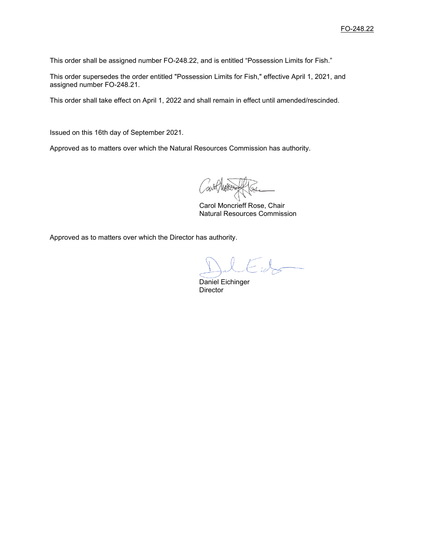This order shall be assigned number FO-248.22, and is entitled "Possession Limits for Fish."

This order supersedes the order entitled "Possession Limits for Fish," effective April 1, 2021, and assigned number FO-248.21.

This order shall take effect on April 1, 2022 and shall remain in effect until amended/rescinded.

Issued on this 16th day of September 2021.

Approved as to matters over which the Natural Resources Commission has authority.

Carol Moncrieff Rose, Chair Natural Resources Commission

Approved as to matters over which the Director has authority.

Daniel Eichinger **Director**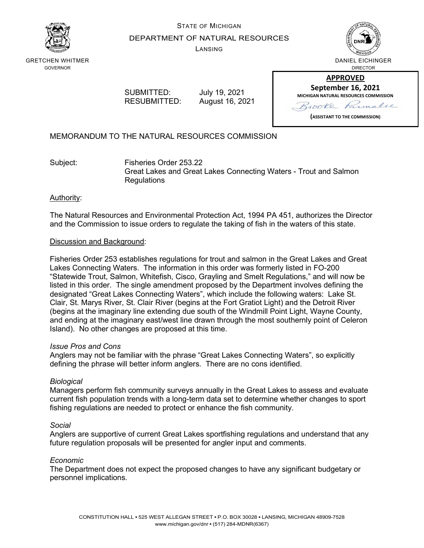

# STATE OF MICHIGAN DEPARTMENT OF NATURAL RESOURCES

LANSING



GRETCHEN WHITMER GOVERNOR

> SUBMITTED: July 19, 2021 RESUBMITTED: August 16, 2021

**APPROVED September 16, 2021 MICHIGAN NATURAL RESOURCES COMMISSION** rooke Parmalie

**(ASSISTANT TO THE COMMISSION)**

MEMORANDUM TO THE NATURAL RESOURCES COMMISSION

Subject: Fisheries Order 253.22 Great Lakes and Great Lakes Connecting Waters - Trout and Salmon **Regulations** 

## Authority:

The Natural Resources and Environmental Protection Act, 1994 PA 451, authorizes the Director and the Commission to issue orders to regulate the taking of fish in the waters of this state.

### Discussion and Background:

Fisheries Order 253 establishes regulations for trout and salmon in the Great Lakes and Great Lakes Connecting Waters. The information in this order was formerly listed in FO-200 "Statewide Trout, Salmon, Whitefish, Cisco, Grayling and Smelt Regulations," and will now be listed in this order. The single amendment proposed by the Department involves defining the designated "Great Lakes Connecting Waters", which include the following waters: Lake St. Clair, St. Marys River, St. Clair River (begins at the Fort Gratiot Light) and the Detroit River (begins at the imaginary line extending due south of the Windmill Point Light, Wayne County, and ending at the imaginary east/west line drawn through the most southernly point of Celeron Island). No other changes are proposed at this time.

#### *Issue Pros and Cons*

Anglers may not be familiar with the phrase "Great Lakes Connecting Waters", so explicitly defining the phrase will better inform anglers. There are no cons identified.

### *Biological*

Managers perform fish community surveys annually in the Great Lakes to assess and evaluate current fish population trends with a long-term data set to determine whether changes to sport fishing regulations are needed to protect or enhance the fish community.

#### *Social*

Anglers are supportive of current Great Lakes sportfishing regulations and understand that any future regulation proposals will be presented for angler input and comments.

### *Economic*

The Department does not expect the proposed changes to have any significant budgetary or personnel implications.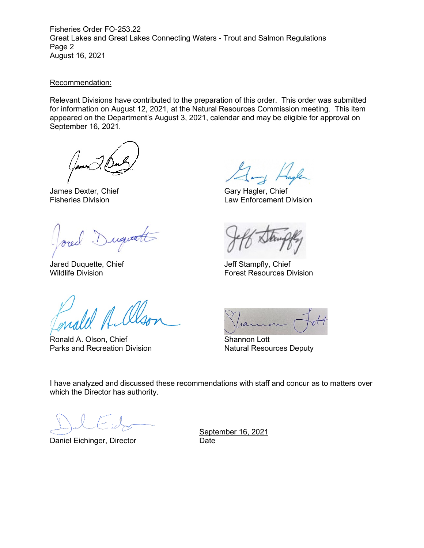Fisheries Order FO-253.22 Great Lakes and Great Lakes Connecting Waters - Trout and Salmon Regulations Page 2 August 16, 2021

#### Recommendation:

Relevant Divisions have contributed to the preparation of this order. This order was submitted for information on August 12, 2021, at the Natural Resources Commission meeting. This item appeared on the Department's August 3, 2021, calendar and may be eligible for approval on September 16, 2021.

James Dexter, Chief Gary Hagler, Chief Gary Hagler, Chief Gary Hagler, Chief Gary Hagler, Chief Gary Hagler, Chief

Duquatt

Jared Duquette, Chief **Jeff Stampfly, Chief** 

Ronald A. Olson, Chief Shannon Lott<br>
Parks and Recreation Division<br>
Natural Resou

Law Enforcement Division

Wildlife Division Forest Resources Division

**Natural Resources Deputy** 

I have analyzed and discussed these recommendations with staff and concur as to matters over which the Director has authority.

Daniel Eichinger, Director **Date** 

September 16, 2021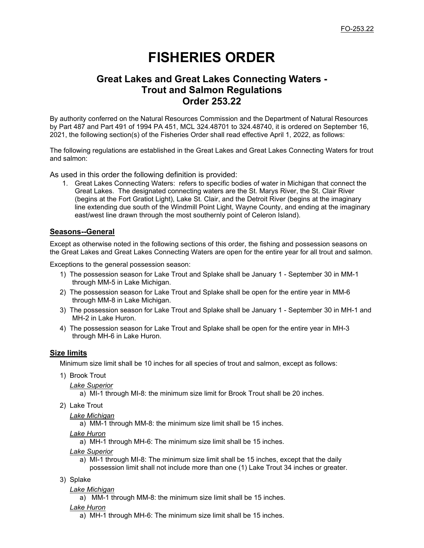# **FISHERIES ORDER**

# **Great Lakes and Great Lakes Connecting Waters - Trout and Salmon Regulations Order 253.22**

By authority conferred on the Natural Resources Commission and the Department of Natural Resources by Part 487 and Part 491 of 1994 PA 451, MCL 324.48701 to 324.48740, it is ordered on September 16, 2021, the following section(s) of the Fisheries Order shall read effective April 1, 2022, as follows:

The following regulations are established in the Great Lakes and Great Lakes Connecting Waters for trout and salmon:

As used in this order the following definition is provided:

1. Great Lakes Connecting Waters: refers to specific bodies of water in Michigan that connect the Great Lakes. The designated connecting waters are the St. Marys River, the St. Clair River (begins at the Fort Gratiot Light), Lake St. Clair, and the Detroit River (begins at the imaginary line extending due south of the Windmill Point Light, Wayne County, and ending at the imaginary east/west line drawn through the most southernly point of Celeron Island).

#### **Seasons--General**

Except as otherwise noted in the following sections of this order, the fishing and possession seasons on the Great Lakes and Great Lakes Connecting Waters are open for the entire year for all trout and salmon.

Exceptions to the general possession season:

- 1) The possession season for Lake Trout and Splake shall be January 1 September 30 in MM-1 through MM-5 in Lake Michigan.
- 2) The possession season for Lake Trout and Splake shall be open for the entire year in MM-6 through MM-8 in Lake Michigan.
- 3) The possession season for Lake Trout and Splake shall be January 1 September 30 in MH-1 and MH-2 in Lake Huron.
- 4) The possession season for Lake Trout and Splake shall be open for the entire year in MH-3 through MH-6 in Lake Huron.

#### **Size limits**

Minimum size limit shall be 10 inches for all species of trout and salmon, except as follows:

- 1) Brook Trout
	- *Lake Superior*

a) MI-1 through MI-8: the minimum size limit for Brook Trout shall be 20 inches.

2) Lake Trout

*Lake Michigan*

a) MM-1 through MM-8: the minimum size limit shall be 15 inches.

*Lake Huron*

a) MH-1 through MH-6: The minimum size limit shall be 15 inches.

*Lake Superior*

- a) MI-1 through MI-8: The minimum size limit shall be 15 inches, except that the daily possession limit shall not include more than one (1) Lake Trout 34 inches or greater.
- 3) Splake
	- *Lake Michigan*
		- a) MM-1 through MM-8: the minimum size limit shall be 15 inches.
	- *Lake Huron*
		- a) MH-1 through MH-6: The minimum size limit shall be 15 inches.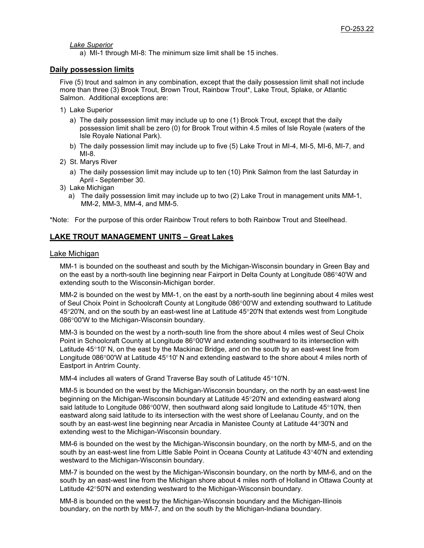*Lake Superior*

a) MI-1 through MI-8: The minimum size limit shall be 15 inches.

#### **Daily possession limits**

Five (5) trout and salmon in any combination, except that the daily possession limit shall not include more than three (3) Brook Trout, Brown Trout, Rainbow Trout\*, Lake Trout, Splake, or Atlantic Salmon. Additional exceptions are:

- 1) Lake Superior
	- a) The daily possession limit may include up to one (1) Brook Trout, except that the daily possession limit shall be zero (0) for Brook Trout within 4.5 miles of Isle Royale (waters of the Isle Royale National Park).
	- b) The daily possession limit may include up to five (5) Lake Trout in MI-4, MI-5, MI-6, MI-7, and MI-8.
- 2) St. Marys River
	- a) The daily possession limit may include up to ten (10) Pink Salmon from the last Saturday in April - September 30.
- 3) Lake Michigan
	- a) The daily possession limit may include up to two (2) Lake Trout in management units MM-1, MM-2, MM-3, MM-4, and MM-5.

\*Note: For the purpose of this order Rainbow Trout refers to both Rainbow Trout and Steelhead.

#### **LAKE TROUT MANAGEMENT UNITS – Great Lakes**

#### Lake Michigan

MM-1 is bounded on the southeast and south by the Michigan-Wisconsin boundary in Green Bay and on the east by a north-south line beginning near Fairport in Delta County at Longitude 086°40'W and extending south to the Wisconsin-Michigan border.

MM-2 is bounded on the west by MM-1, on the east by a north-south line beginning about 4 miles west of Seul Choix Point in Schoolcraft County at Longitude 086°00'W and extending southward to Latitude 45°20'N, and on the south by an east-west line at Latitude 45°20'N that extends west from Longitude 086°00'W to the Michigan-Wisconsin boundary.

MM-3 is bounded on the west by a north-south line from the shore about 4 miles west of Seul Choix Point in Schoolcraft County at Longitude 86°00'W and extending southward to its intersection with Latitude 45°10' N, on the east by the Mackinac Bridge, and on the south by an east-west line from Longitude 086°00'W at Latitude 45°10' N and extending eastward to the shore about 4 miles north of Eastport in Antrim County.

MM-4 includes all waters of Grand Traverse Bay south of Latitude 45°10'N.

MM-5 is bounded on the west by the Michigan-Wisconsin boundary, on the north by an east-west line beginning on the Michigan-Wisconsin boundary at Latitude 45°20'N and extending eastward along said latitude to Longitude 086°00'W, then southward along said longitude to Latitude 45°10'N, then eastward along said latitude to its intersection with the west shore of Leelanau County, and on the south by an east-west line beginning near Arcadia in Manistee County at Latitude 44°30'N and extending west to the Michigan-Wisconsin boundary.

MM-6 is bounded on the west by the Michigan-Wisconsin boundary, on the north by MM-5, and on the south by an east-west line from Little Sable Point in Oceana County at Latitude 43°40'N and extending westward to the Michigan-Wisconsin boundary.

MM-7 is bounded on the west by the Michigan-Wisconsin boundary, on the north by MM-6, and on the south by an east-west line from the Michigan shore about 4 miles north of Holland in Ottawa County at Latitude 42°50'N and extending westward to the Michigan-Wisconsin boundary.

MM-8 is bounded on the west by the Michigan-Wisconsin boundary and the Michigan-Illinois boundary, on the north by MM-7, and on the south by the Michigan-Indiana boundary.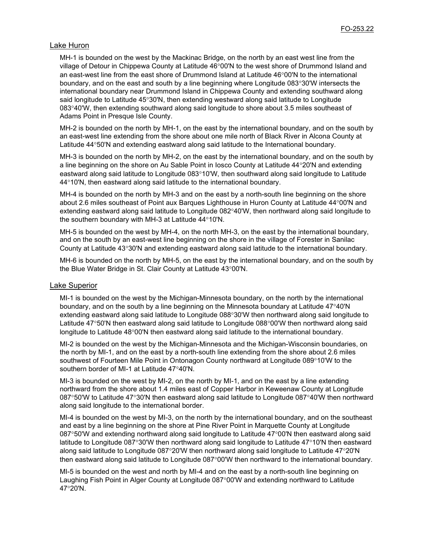#### Lake Huron

MH-1 is bounded on the west by the Mackinac Bridge, on the north by an east west line from the village of Detour in Chippewa County at Latitude 46°00'N to the west shore of Drummond Island and an east-west line from the east shore of Drummond Island at Latitude 46°00'N to the international boundary, and on the east and south by a line beginning where Longitude 083°30'W intersects the international boundary near Drummond Island in Chippewa County and extending southward along said longitude to Latitude 45°30'N, then extending westward along said latitude to Longitude 083°40'W, then extending southward along said longitude to shore about 3.5 miles southeast of Adams Point in Presque Isle County.

MH-2 is bounded on the north by MH-1, on the east by the international boundary, and on the south by an east-west line extending from the shore about one mile north of Black River in Alcona County at Latitude 44°50'N and extending eastward along said latitude to the International boundary.

MH-3 is bounded on the north by MH-2, on the east by the international boundary, and on the south by a line beginning on the shore on Au Sable Point in Iosco County at Latitude 44°20'N and extending eastward along said latitude to Longitude 083°10'W, then southward along said longitude to Latitude 44°10'N, then eastward along said latitude to the international boundary.

MH-4 is bounded on the north by MH-3 and on the east by a north-south line beginning on the shore about 2.6 miles southeast of Point aux Barques Lighthouse in Huron County at Latitude 44°00'N and extending eastward along said latitude to Longitude 082°40'W, then northward along said longitude to the southern boundary with MH-3 at Latitude 44°10'N.

MH-5 is bounded on the west by MH-4, on the north MH-3, on the east by the international boundary, and on the south by an east-west line beginning on the shore in the village of Forester in Sanilac County at Latitude 43°30'N and extending eastward along said latitude to the international boundary.

MH-6 is bounded on the north by MH-5, on the east by the international boundary, and on the south by the Blue Water Bridge in St. Clair County at Latitude 43°00'N.

#### Lake Superior

MI-1 is bounded on the west by the Michigan-Minnesota boundary, on the north by the international boundary, and on the south by a line beginning on the Minnesota boundary at Latitude 47°40'N extending eastward along said latitude to Longitude 088°30'W then northward along said longitude to Latitude 47°50'N then eastward along said latitude to Longitude 088°00'W then northward along said longitude to Latitude 48°00'N then eastward along said latitude to the international boundary.

MI-2 is bounded on the west by the Michigan-Minnesota and the Michigan-Wisconsin boundaries, on the north by MI-1, and on the east by a north-south line extending from the shore about 2.6 miles southwest of Fourteen Mile Point in Ontonagon County northward at Longitude 089°10'W to the southern border of MI-1 at Latitude 47°40'N.

MI-3 is bounded on the west by MI-2, on the north by MI-1, and on the east by a line extending northward from the shore about 1.4 miles east of Copper Harbor in Keweenaw County at Longitude 087°50'W to Latitude 47°30'N then eastward along said latitude to Longitude 087°40'W then northward along said longitude to the international border.

MI-4 is bounded on the west by MI-3, on the north by the international boundary, and on the southeast and east by a line beginning on the shore at Pine River Point in Marquette County at Longitude 087°50'W and extending northward along said longitude to Latitude 47°00'N then eastward along said latitude to Longitude 087°30'W then northward along said longitude to Latitude 47°10'N then eastward along said latitude to Longitude 087°20'W then northward along said longitude to Latitude 47°20'N then eastward along said latitude to Longitude 087°00'W then northward to the international boundary.

MI-5 is bounded on the west and north by MI-4 and on the east by a north-south line beginning on Laughing Fish Point in Alger County at Longitude 087°00'W and extending northward to Latitude 47°20'N.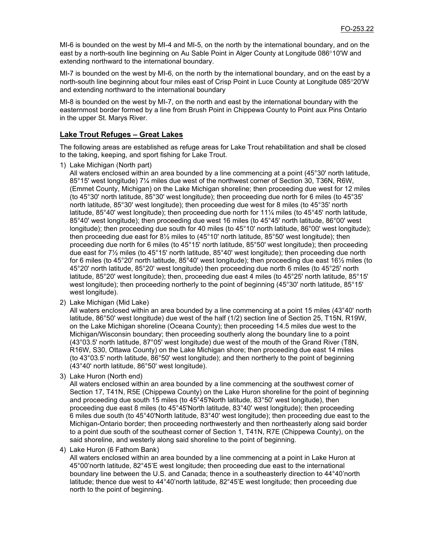MI-6 is bounded on the west by MI-4 and MI-5, on the north by the international boundary, and on the east by a north-south line beginning on Au Sable Point in Alger County at Longitude 086°10'W and extending northward to the international boundary.

MI-7 is bounded on the west by MI-6, on the north by the international boundary, and on the east by a north-south line beginning about four miles east of Crisp Point in Luce County at Longitude 085°20'W and extending northward to the international boundary

MI-8 is bounded on the west by MI-7, on the north and east by the international boundary with the easternmost border formed by a line from Brush Point in Chippewa County to Point aux Pins Ontario in the upper St. Marys River.

#### **Lake Trout Refuges – Great Lakes**

The following areas are established as refuge areas for Lake Trout rehabilitation and shall be closed to the taking, keeping, and sport fishing for Lake Trout.

1) Lake Michigan (North part)

All waters enclosed within an area bounded by a line commencing at a point (45°30' north latitude, 85°15' west longitude) 7¼ miles due west of the northwest corner of Section 30, T36N, R6W, (Emmet County, Michigan) on the Lake Michigan shoreline; then proceeding due west for 12 miles (to 45°30' north latitude, 85°30' west longitude); then proceeding due north for 6 miles (to 45°35' north latitude, 85°30' west longitude); then proceeding due west for 8 miles (to 45°35' north latitude, 85°40' west longitude); then proceeding due north for 11¼ miles (to 45°45' north latitude, 85°40' west longitude); then proceeding due west 16 miles (to 45°45' north latitude, 86°00' west longitude); then proceeding due south for 40 miles (to 45°10' north latitude, 86°00' west longitude); then proceeding due east for 8½ miles to (45°10' north latitude, 85°50' west longitude); then proceeding due north for 6 miles (to 45°15' north latitude, 85°50' west longitude); then proceeding due east for 7½ miles (to 45°15' north latitude, 85°40' west longitude); then proceeding due north for 6 miles (to 45°20' north latitude, 85°40' west longitude); then proceeding due east 16½ miles (to 45°20' north latitude, 85°20' west longitude) then proceeding due north 6 miles (to 45°25' north latitude, 85°20' west longitude); then, proceeding due east 4 miles (to 45°25' north latitude, 85°15' west longitude); then proceeding northerly to the point of beginning (45°30' north latitude, 85°15' west longitude).

2) Lake Michigan (Mid Lake)

All waters enclosed within an area bounded by a line commencing at a point 15 miles (43°40' north latitude, 86°50' west longitude) due west of the half (1/2) section line of Section 25, T15N, R19W, on the Lake Michigan shoreline (Oceana County); then proceeding 14.5 miles due west to the Michigan/Wisconsin boundary; then proceeding southerly along the boundary line to a point (43°03.5' north latitude, 87°05' west longitude) due west of the mouth of the Grand River (T8N, R16W, S30, Ottawa County) on the Lake Michigan shore; then proceeding due east 14 miles (to 43°03.5' north latitude, 86°50' west longitude); and then northerly to the point of beginning (43°40' north latitude, 86°50' west longitude).

3) Lake Huron (North end)

All waters enclosed within an area bounded by a line commencing at the southwest corner of Section 17, T41N, R5E (Chippewa County) on the Lake Huron shoreline for the point of beginning and proceeding due south 15 miles (to 45°45'North latitude, 83°50' west longitude), then proceeding due east 8 miles (to 45°45'North latitude, 83°40' west longitude); then proceeding 6 miles due south (to 45°40'North latitude, 83°40' west longitude); then proceeding due east to the Michigan-Ontario border; then proceeding northwesterly and then northeasterly along said border to a point due south of the southeast corner of Section 1, T41N, R7E (Chippewa County), on the said shoreline, and westerly along said shoreline to the point of beginning.

4) Lake Huron (6 Fathom Bank)

All waters enclosed within an area bounded by a line commencing at a point in Lake Huron at 45°00'north latitude, 82°45'E west longitude; then proceeding due east to the international boundary line between the U.S. and Canada; thence in a southeasterly direction to 44°40'north latitude; thence due west to 44°40'north latitude, 82°45'E west longitude; then proceeding due north to the point of beginning.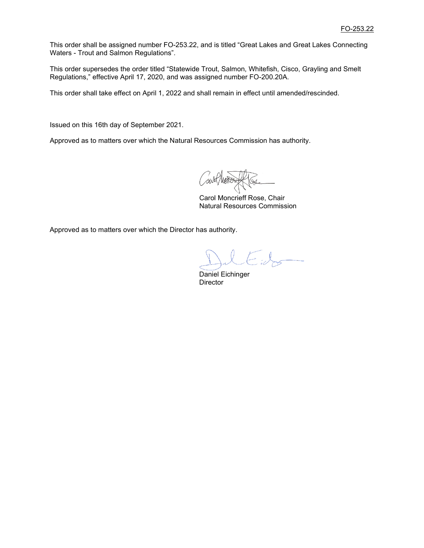This order shall be assigned number FO-253.22, and is titled "Great Lakes and Great Lakes Connecting Waters - Trout and Salmon Regulations".

This order supersedes the order titled "Statewide Trout, Salmon, Whitefish, Cisco, Grayling and Smelt Regulations," effective April 17, 2020, and was assigned number FO-200.20A.

This order shall take effect on April 1, 2022 and shall remain in effect until amended/rescinded.

Issued on this 16th day of September 2021.

Approved as to matters over which the Natural Resources Commission has authority.

 Carol Moncrieff Rose, Chair Natural Resources Commission

Approved as to matters over which the Director has authority.

 Daniel Eichinger **Director**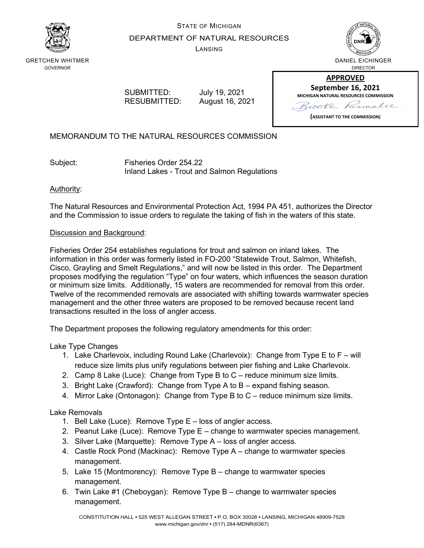

GRETCHEN WHITMER GOVERNOR

# STATE OF MICHIGAN DEPARTMENT OF NATURAL RESOURCES

LANSING



DANIEL EICHINGER DIRECTOR

SUBMITTED: July 19, 2021

RESUBMITTED: August 16, 2021

**APPROVED September 16, 2021 MICHIGAN NATURAL RESOURCES COMMISSION** Parmalie 100Ke

**(ASSISTANT TO THE COMMISSION)**

MEMORANDUM TO THE NATURAL RESOURCES COMMISSION

Subject: Fisheries Order 254.22 Inland Lakes - Trout and Salmon Regulations

## Authority:

The Natural Resources and Environmental Protection Act, 1994 PA 451, authorizes the Director and the Commission to issue orders to regulate the taking of fish in the waters of this state.

## Discussion and Background:

Fisheries Order 254 establishes regulations for trout and salmon on inland lakes. The information in this order was formerly listed in FO-200 "Statewide Trout, Salmon, Whitefish, Cisco, Grayling and Smelt Regulations," and will now be listed in this order. The Department proposes modifying the regulation "Type" on four waters, which influences the season duration or minimum size limits. Additionally, 15 waters are recommended for removal from this order. Twelve of the recommended removals are associated with shifting towards warmwater species management and the other three waters are proposed to be removed because recent land transactions resulted in the loss of angler access.

The Department proposes the following regulatory amendments for this order:

Lake Type Changes

- 1. Lake Charlevoix, including Round Lake (Charlevoix): Change from Type E to F will reduce size limits plus unify regulations between pier fishing and Lake Charlevoix.
- 2. Camp 8 Lake (Luce): Change from Type B to C reduce minimum size limits.
- 3. Bright Lake (Crawford): Change from Type A to B expand fishing season.
- 4. Mirror Lake (Ontonagon): Change from Type B to C reduce minimum size limits.

Lake Removals

- 1. Bell Lake (Luce): Remove Type E loss of angler access.
- 2. Peanut Lake (Luce): Remove Type E change to warmwater species management.
- 3. Silver Lake (Marquette): Remove Type A loss of angler access.
- 4. Castle Rock Pond (Mackinac): Remove Type A change to warmwater species management.
- 5. Lake 15 (Montmorency): Remove Type B change to warmwater species management.
- 6. Twin Lake #1 (Cheboygan): Remove Type B change to warmwater species management.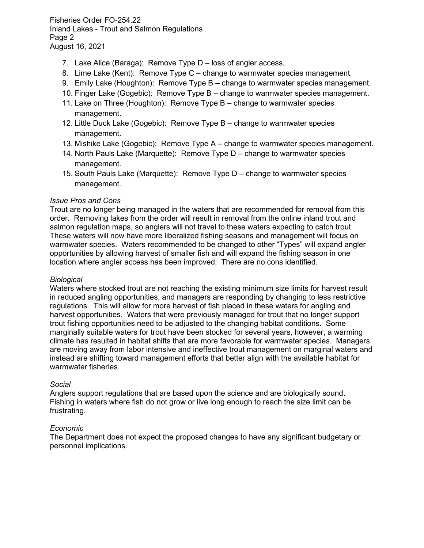Fisheries Order FO-254.22 Inland Lakes - Trout and Salmon Regulations Page 2 August 16, 2021

- 7. Lake Alice (Baraga): Remove Type D loss of angler access.
- 8. Lime Lake (Kent): Remove Type C change to warmwater species management.
- 9. Emily Lake (Houghton): Remove Type B change to warmwater species management.
- 10. Finger Lake (Gogebic): Remove Type B change to warmwater species management.
- 11. Lake on Three (Houghton): Remove Type B change to warmwater species management.
- 12. Little Duck Lake (Gogebic): Remove Type B change to warmwater species management.
- 13. Mishike Lake (Gogebic): Remove Type A change to warmwater species management.
- 14. North Pauls Lake (Marquette): Remove Type D change to warmwater species management.
- 15. South Pauls Lake (Marquette): Remove Type D change to warmwater species management.

#### *Issue Pros and Cons*

Trout are no longer being managed in the waters that are recommended for removal from this order. Removing lakes from the order will result in removal from the online inland trout and salmon regulation maps, so anglers will not travel to these waters expecting to catch trout. These waters will now have more liberalized fishing seasons and management will focus on warmwater species. Waters recommended to be changed to other "Types" will expand angler opportunities by allowing harvest of smaller fish and will expand the fishing season in one location where angler access has been improved. There are no cons identified.

#### *Biological*

Waters where stocked trout are not reaching the existing minimum size limits for harvest result in reduced angling opportunities, and managers are responding by changing to less restrictive regulations. This will allow for more harvest of fish placed in these waters for angling and harvest opportunities. Waters that were previously managed for trout that no longer support trout fishing opportunities need to be adjusted to the changing habitat conditions. Some marginally suitable waters for trout have been stocked for several years, however, a warming climate has resulted in habitat shifts that are more favorable for warmwater species. Managers are moving away from labor intensive and ineffective trout management on marginal waters and instead are shifting toward management efforts that better align with the available habitat for warmwater fisheries

#### *Social*

Anglers support regulations that are based upon the science and are biologically sound. Fishing in waters where fish do not grow or live long enough to reach the size limit can be frustrating.

#### *Economic*

The Department does not expect the proposed changes to have any significant budgetary or personnel implications.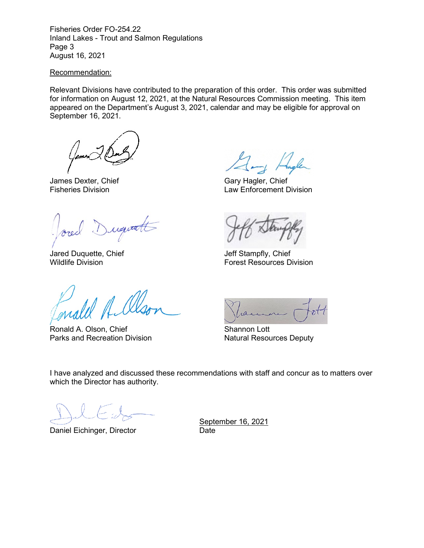Fisheries Order FO-254.22 Inland Lakes - Trout and Salmon Regulations Page 3 August 16, 2021

#### Recommendation:

Relevant Divisions have contributed to the preparation of this order. This order was submitted for information on August 12, 2021, at the Natural Resources Commission meeting. This item appeared on the Department's August 3, 2021, calendar and may be eligible for approval on September 16, 2021.

James Dexter, Chief Gary Hagler, Chief Chief Gary Hagler, Chief Chief Gary Hagler, Chief Chief Chief Chief Law Enforcement Div

) ugutt

Jared Duquette, Chief Jeff Stampfly, Chief

Ronald A. Olson, Chief Shannon Lott Parks and Recreation Division Natural Resources Deputy

Law Enforcement Division

Forest Resources Division

 $101$ 

I have analyzed and discussed these recommendations with staff and concur as to matters over which the Director has authority.

Daniel Eichinger, Director

September 16, 2021<br>Date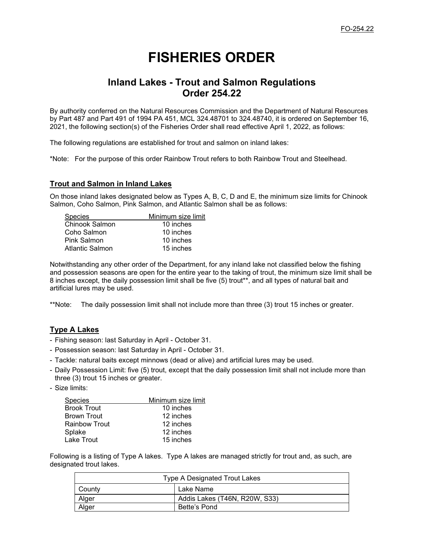# **FISHERIES ORDER**

# **Inland Lakes - Trout and Salmon Regulations Order 254.22**

By authority conferred on the Natural Resources Commission and the Department of Natural Resources by Part 487 and Part 491 of 1994 PA 451, MCL 324.48701 to 324.48740, it is ordered on September 16, 2021, the following section(s) of the Fisheries Order shall read effective April 1, 2022, as follows:

The following regulations are established for trout and salmon on inland lakes:

\*Note: For the purpose of this order Rainbow Trout refers to both Rainbow Trout and Steelhead.

#### **Trout and Salmon in Inland Lakes**

On those inland lakes designated below as Types A, B, C, D and E, the minimum size limits for Chinook Salmon, Coho Salmon, Pink Salmon, and Atlantic Salmon shall be as follows:

| Minimum size limit |
|--------------------|
| 10 inches          |
| 10 inches          |
| 10 inches          |
| 15 inches          |
|                    |

Notwithstanding any other order of the Department, for any inland lake not classified below the fishing and possession seasons are open for the entire year to the taking of trout, the minimum size limit shall be 8 inches except, the daily possession limit shall be five (5) trout\*\*, and all types of natural bait and artificial lures may be used.

\*\*Note: The daily possession limit shall not include more than three (3) trout 15 inches or greater.

#### **Type A Lakes**

- Fishing season: last Saturday in April October 31.
- Possession season: last Saturday in April October 31.
- Tackle: natural baits except minnows (dead or alive) and artificial lures may be used.
- Daily Possession Limit: five (5) trout, except that the daily possession limit shall not include more than three (3) trout 15 inches or greater.
- Size limits:

| <b>Species</b>       | Minimum size limit |
|----------------------|--------------------|
| <b>Brook Trout</b>   | 10 inches          |
| <b>Brown Trout</b>   | 12 inches          |
| <b>Rainbow Trout</b> | 12 inches          |
| Splake               | 12 inches          |
| Lake Trout           | 15 inches          |

Following is a listing of Type A lakes. Type A lakes are managed strictly for trout and, as such, are designated trout lakes.

| Type A Designated Trout Lakes |                               |  |
|-------------------------------|-------------------------------|--|
| County                        | Lake Name                     |  |
| Alger                         | Addis Lakes (T46N, R20W, S33) |  |
| Alger                         | Bette's Pond                  |  |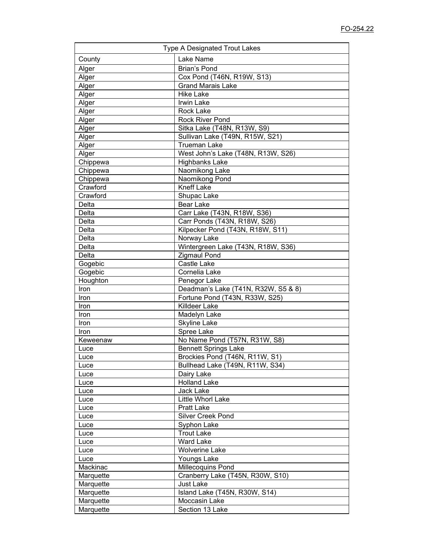| <b>Type A Designated Trout Lakes</b> |                                     |  |
|--------------------------------------|-------------------------------------|--|
| County                               | Lake Name                           |  |
| Alger                                | <b>Brian's Pond</b>                 |  |
| Alger                                | Cox Pond (T46N, R19W, S13)          |  |
| Alger                                | <b>Grand Marais Lake</b>            |  |
| Alger                                | <b>Hike Lake</b>                    |  |
| Alger                                | Irwin Lake                          |  |
| Alger                                | Rock Lake                           |  |
| Alger                                | <b>Rock River Pond</b>              |  |
| Alger                                | Sitka Lake (T48N, R13W, S9)         |  |
| Alger                                | Sullivan Lake (T49N, R15W, S21)     |  |
| Alger                                | <b>Trueman Lake</b>                 |  |
| Alger                                | West John's Lake (T48N, R13W, S26)  |  |
| Chippewa                             | <b>Highbanks Lake</b>               |  |
| Chippewa                             | Naomikong Lake                      |  |
| Chippewa                             | Naomikong Pond                      |  |
| Crawford                             | <b>Kneff Lake</b>                   |  |
| Crawford                             | Shupac Lake                         |  |
| Delta                                | <b>Bear Lake</b>                    |  |
| Delta                                | Carr Lake (T43N, R18W, S36)         |  |
| Delta                                | Carr Ponds (T43N, R18W, S26)        |  |
| Delta                                | Kilpecker Pond (T43N, R18W, S11)    |  |
| Delta                                | Norway Lake                         |  |
| Delta                                | Wintergreen Lake (T43N, R18W, S36)  |  |
| Delta                                | <b>Zigmaul Pond</b>                 |  |
| Gogebic                              | Castle Lake                         |  |
| Gogebic                              | Cornelia Lake                       |  |
| Houghton                             | Penegor Lake                        |  |
| Iron                                 | Deadman's Lake (T41N, R32W, S5 & 8) |  |
| Iron                                 | Fortune Pond (T43N, R33W, S25)      |  |
| Iron                                 | Killdeer Lake                       |  |
| Iron                                 | Madelyn Lake                        |  |
| Iron                                 | <b>Skyline Lake</b>                 |  |
| Iron                                 | Spree Lake                          |  |
| Keweenaw                             | No Name Pond (T57N, R31W, S8)       |  |
| Luce                                 | <b>Bennett Springs Lake</b>         |  |
| Luce                                 | Brockies Pond (T46N, R11W, S1)      |  |
| Luce                                 | Bullhead Lake (T49N, R11W, S34)     |  |
| Luce                                 | Dairy Lake                          |  |
| Luce                                 | <b>Holland Lake</b>                 |  |
| Luce                                 | <b>Jack Lake</b>                    |  |
| Luce                                 | Little Whorl Lake                   |  |
| Luce                                 | <b>Pratt Lake</b>                   |  |
| Luce                                 | Silver Creek Pond                   |  |
| Luce                                 | Syphon Lake                         |  |
| Luce                                 | <b>Trout Lake</b>                   |  |
| Luce                                 | <b>Ward Lake</b>                    |  |
| Luce                                 | <b>Wolverine Lake</b>               |  |
| Luce                                 | Youngs Lake                         |  |
| Mackinac                             | Millecoquins Pond                   |  |
| Marquette                            | Cranberry Lake (T45N, R30W, S10)    |  |
| Marquette                            | <b>Just Lake</b>                    |  |
| Marquette                            | Island Lake (T45N, R30W, S14)       |  |
| Marquette                            | Moccasin Lake                       |  |
| Marquette                            | Section 13 Lake                     |  |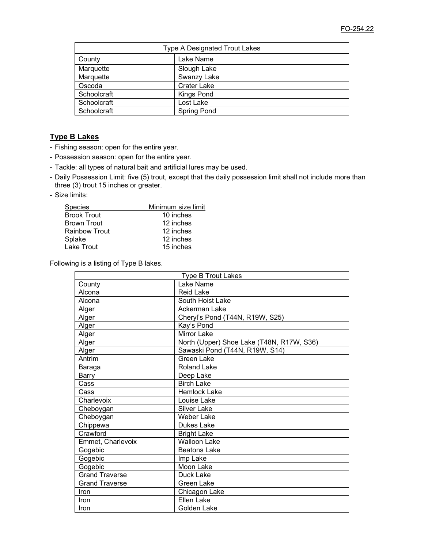| <b>Type A Designated Trout Lakes</b> |                    |  |
|--------------------------------------|--------------------|--|
| County                               | Lake Name          |  |
| Marquette                            | Slough Lake        |  |
| Marquette                            | Swanzy Lake        |  |
| Oscoda                               | <b>Crater Lake</b> |  |
| Schoolcraft                          | Kings Pond         |  |
| Schoolcraft                          | Lost Lake          |  |
| Schoolcraft                          | <b>Spring Pond</b> |  |

## **Type B Lakes**

- Fishing season: open for the entire year.
- Possession season: open for the entire year.
- Tackle: all types of natural bait and artificial lures may be used.
- Daily Possession Limit: five (5) trout, except that the daily possession limit shall not include more than three (3) trout 15 inches or greater.
- Size limits:

| <b>Species</b>       | Minimum size limit |
|----------------------|--------------------|
| <b>Brook Trout</b>   | 10 inches          |
| <b>Brown Trout</b>   | 12 inches          |
| <b>Rainbow Trout</b> | 12 inches          |
| Splake               | 12 inches          |
| Lake Trout           | 15 inches          |

Following is a listing of Type B lakes.

| <b>Type B Trout Lakes</b> |                                           |  |
|---------------------------|-------------------------------------------|--|
| County                    | Lake Name                                 |  |
| Alcona                    | <b>Reid Lake</b>                          |  |
| Alcona                    | South Hoist Lake                          |  |
| Alger                     | Ackerman Lake                             |  |
| Alger                     | Cheryl's Pond (T44N, R19W, S25)           |  |
| Alger                     | Kay's Pond                                |  |
| Alger                     | Mirror Lake                               |  |
| Alger                     | North (Upper) Shoe Lake (T48N, R17W, S36) |  |
| Alger                     | Sawaski Pond (T44N, R19W, S14)            |  |
| Antrim                    | Green Lake                                |  |
| Baraga                    | <b>Roland Lake</b>                        |  |
| <b>Barry</b>              | Deep Lake                                 |  |
| Cass                      | <b>Birch Lake</b>                         |  |
| Cass                      | <b>Hemlock Lake</b>                       |  |
| Charlevoix                | Louise Lake                               |  |
| Cheboygan                 | <b>Silver Lake</b>                        |  |
| Cheboygan                 | Weber Lake                                |  |
| Chippewa                  | Dukes Lake                                |  |
| Crawford                  | <b>Bright Lake</b>                        |  |
| Emmet, Charlevoix         | Walloon Lake                              |  |
| Gogebic                   | <b>Beatons Lake</b>                       |  |
| Gogebic                   | Imp Lake                                  |  |
| Gogebic                   | Moon Lake                                 |  |
| <b>Grand Traverse</b>     | Duck Lake                                 |  |
| <b>Grand Traverse</b>     | <b>Green Lake</b>                         |  |
| Iron                      | Chicagon Lake                             |  |
| Iron                      | <b>Ellen Lake</b>                         |  |
| <b>Iron</b>               | Golden Lake                               |  |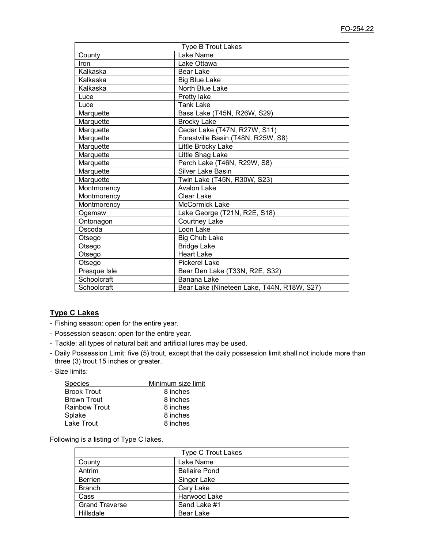| <b>Type B Trout Lakes</b> |                                            |  |
|---------------------------|--------------------------------------------|--|
| County                    | Lake Name                                  |  |
| Iron                      | Lake Ottawa                                |  |
| Kalkaska                  | <b>Bear Lake</b>                           |  |
| Kalkaska                  | <b>Big Blue Lake</b>                       |  |
| Kalkaska                  | North Blue Lake                            |  |
| Luce                      | Pretty lake                                |  |
| Luce                      | <b>Tank Lake</b>                           |  |
| Marquette                 | Bass Lake (T45N, R26W, S29)                |  |
| Marquette                 | <b>Brocky Lake</b>                         |  |
| Marquette                 | Cedar Lake (T47N, R27W, S11)               |  |
| Marquette                 | Forestville Basin (T48N, R25W, S8)         |  |
| Marquette                 | Little Brocky Lake                         |  |
| Marquette                 | Little Shag Lake                           |  |
| Marquette                 | Perch Lake (T46N, R29W, S8)                |  |
| Marquette                 | <b>Silver Lake Basin</b>                   |  |
| Marquette                 | Twin Lake (T45N, R30W, S23)                |  |
| Montmorency               | Avalon Lake                                |  |
| Montmorency               | <b>Clear Lake</b>                          |  |
| Montmorency               | <b>McCormick Lake</b>                      |  |
| Ogemaw                    | Lake George (T21N, R2E, S18)               |  |
| Ontonagon                 | Courtney Lake                              |  |
| Oscoda                    | Loon Lake                                  |  |
| Otsego                    | <b>Big Chub Lake</b>                       |  |
| Otsego                    | <b>Bridge Lake</b>                         |  |
| Otsego                    | <b>Heart Lake</b>                          |  |
| Otsego                    | <b>Pickerel Lake</b>                       |  |
| Presque Isle              | Bear Den Lake (T33N, R2E, S32)             |  |
| Schoolcraft               | Banana Lake                                |  |
| Schoolcraft               | Bear Lake (Nineteen Lake, T44N, R18W, S27) |  |

## **Type C Lakes**

- Fishing season: open for the entire year.
- Possession season: open for the entire year.
- Tackle: all types of natural bait and artificial lures may be used.
- Daily Possession Limit: five (5) trout, except that the daily possession limit shall not include more than three (3) trout 15 inches or greater.
- Size limits:

| Species       | Minimum size limit |
|---------------|--------------------|
| Brook Trout   | 8 inches           |
| Brown Trout   | 8 inches           |
| Rainbow Trout | 8 inches           |
| Splake        | 8 inches           |
| Lake Trout    | 8 inches           |

Following is a listing of Type C lakes.

| <b>Type C Trout Lakes</b> |                      |  |
|---------------------------|----------------------|--|
| County                    | Lake Name            |  |
| Antrim                    | <b>Bellaire Pond</b> |  |
| Berrien                   | Singer Lake          |  |
| <b>Branch</b>             | Cary Lake            |  |
| Cass                      | Harwood Lake         |  |
| <b>Grand Traverse</b>     | Sand Lake #1         |  |
| Hillsdale                 | Bear Lake            |  |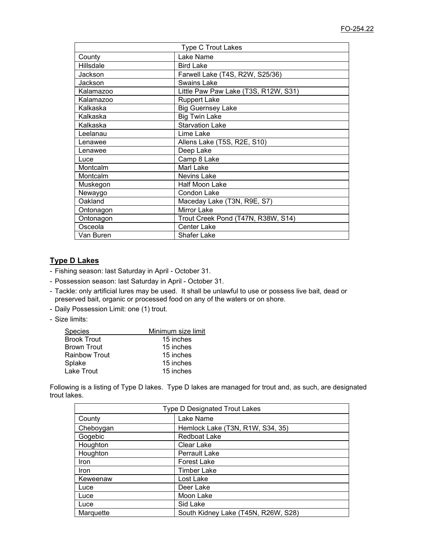| <b>Type C Trout Lakes</b> |                                      |  |
|---------------------------|--------------------------------------|--|
| County                    | Lake Name                            |  |
| Hillsdale                 | <b>Bird Lake</b>                     |  |
| Jackson                   | Farwell Lake (T4S, R2W, S25/36)      |  |
| Jackson                   | Swains Lake                          |  |
| Kalamazoo                 | Little Paw Paw Lake (T3S, R12W, S31) |  |
| Kalamazoo                 | <b>Ruppert Lake</b>                  |  |
| Kalkaska                  | <b>Big Guernsey Lake</b>             |  |
| Kalkaska                  | <b>Big Twin Lake</b>                 |  |
| Kalkaska                  | <b>Starvation Lake</b>               |  |
| Leelanau                  | Lime Lake                            |  |
| Lenawee                   | Allens Lake (T5S, R2E, S10)          |  |
| Lenawee                   | Deep Lake                            |  |
| Luce                      | Camp 8 Lake                          |  |
| Montcalm                  | Marl Lake                            |  |
| Montcalm                  | Nevins Lake                          |  |
| Muskegon                  | <b>Half Moon Lake</b>                |  |
| Newaygo                   | Condon Lake                          |  |
| Oakland                   | Maceday Lake (T3N, R9E, S7)          |  |
| Ontonagon                 | <b>Mirror Lake</b>                   |  |
| Ontonagon                 | Trout Creek Pond (T47N, R38W, S14)   |  |
| Osceola                   | <b>Center Lake</b>                   |  |
| Van Buren                 | <b>Shafer Lake</b>                   |  |

# **Type D Lakes**

- Fishing season: last Saturday in April October 31.
- Possession season: last Saturday in April October 31.
- Tackle: only artificial lures may be used. It shall be unlawful to use or possess live bait, dead or preserved bait, organic or processed food on any of the waters or on shore.
- Daily Possession Limit: one (1) trout.
- Size limits:

| Species       | Minimum size limit |
|---------------|--------------------|
| Brook Trout   | 15 inches          |
| Brown Trout   | 15 inches          |
| Rainbow Trout | 15 inches          |
| Splake        | 15 inches          |
| Lake Trout    | 15 inches          |

Following is a listing of Type D lakes. Type D lakes are managed for trout and, as such, are designated trout lakes.

| <b>Type D Designated Trout Lakes</b> |                                     |  |
|--------------------------------------|-------------------------------------|--|
| County                               | Lake Name                           |  |
| Cheboygan                            | Hemlock Lake (T3N, R1W, S34, 35)    |  |
| Gogebic                              | <b>Redboat Lake</b>                 |  |
| Houghton                             | Clear Lake                          |  |
| Houghton                             | <b>Perrault Lake</b>                |  |
| <b>Iron</b>                          | <b>Forest Lake</b>                  |  |
| <b>Iron</b>                          | <b>Timber Lake</b>                  |  |
| Keweenaw                             | Lost Lake                           |  |
| Luce                                 | Deer Lake                           |  |
| Luce                                 | Moon Lake                           |  |
| Luce                                 | Sid Lake                            |  |
| Marquette                            | South Kidney Lake (T45N, R26W, S28) |  |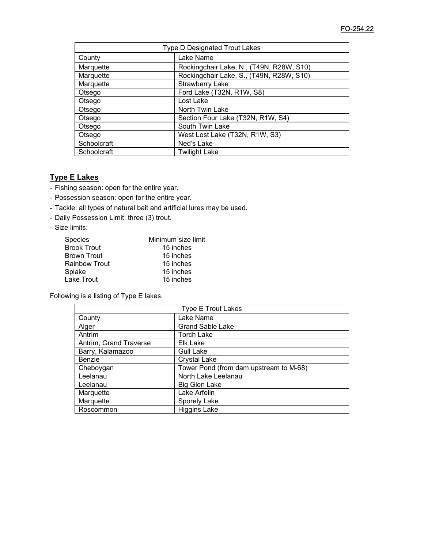| <b>Type D Designated Trout Lakes</b> |                                          |  |
|--------------------------------------|------------------------------------------|--|
| County                               | Lake Name                                |  |
| Marquette                            | Rockingchair Lake, N., (T49N, R28W, S10) |  |
| Marquette                            | Rockingchair Lake, S., (T49N, R28W, S10) |  |
| Marquette                            | <b>Strawberry Lake</b>                   |  |
| Otsego                               | Ford Lake (T32N, R1W, S8)                |  |
| Otsego                               | Lost Lake                                |  |
| Otsego                               | North Twin Lake                          |  |
| Otsego                               | Section Four Lake (T32N, R1W, S4)        |  |
| Otsego                               | South Twin Lake                          |  |
| Otsego                               | West Lost Lake (T32N, R1W, S3)           |  |
| Schoolcraft                          | Ned's Lake                               |  |
| Schoolcraft                          | <b>Twilight Lake</b>                     |  |

# **Type E Lakes**

- Fishing season: open for the entire year.
- Possession season: open for the entire year.
- Tackle: all types of natural bait and artificial lures may be used.
- Daily Possession Limit: three (3) trout.
- Size limits:

| Species              | Minimum size limit |
|----------------------|--------------------|
| <b>Brook Trout</b>   | 15 inches          |
| <b>Brown Trout</b>   | 15 inches          |
| <b>Rainbow Trout</b> | 15 inches          |
| Splake               | 15 inches          |
| <b>Lake Trout</b>    | 15 inches          |

Following is a listing of Type E lakes.

| <b>Type E Trout Lakes</b> |                                        |  |
|---------------------------|----------------------------------------|--|
| County                    | Lake Name                              |  |
| Alger                     | <b>Grand Sable Lake</b>                |  |
| Antrim                    | <b>Torch Lake</b>                      |  |
| Antrim, Grand Traverse    | Elk Lake                               |  |
| Barry, Kalamazoo          | <b>Gull Lake</b>                       |  |
| Benzie                    | <b>Crystal Lake</b>                    |  |
| Cheboygan                 | Tower Pond (from dam upstream to M-68) |  |
| Leelanau                  | North Lake Leelanau                    |  |
| Leelanau                  | <b>Big Glen Lake</b>                   |  |
| Marquette                 | Lake Arfelin                           |  |
| Marquette                 | Sporely Lake                           |  |
| Roscommon                 | <b>Higgins Lake</b>                    |  |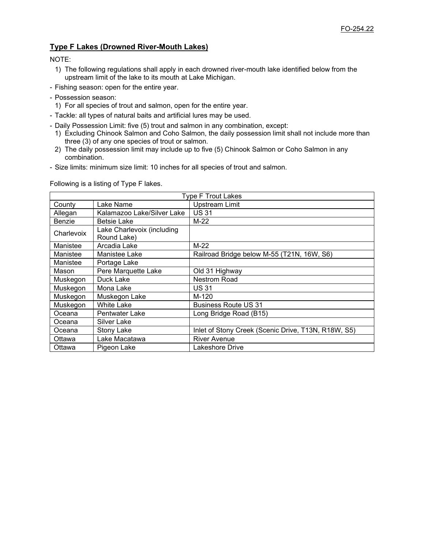## **Type F Lakes (Drowned River-Mouth Lakes)**

NOTE:

- 1) The following regulations shall apply in each drowned river-mouth lake identified below from the upstream limit of the lake to its mouth at Lake Michigan.
- Fishing season: open for the entire year.
- Possession season:
	- 1) For all species of trout and salmon, open for the entire year.
- Tackle: all types of natural baits and artificial lures may be used.
- Daily Possession Limit: five (5) trout and salmon in any combination, except:
	- 1) Excluding Chinook Salmon and Coho Salmon, the daily possession limit shall not include more than three (3) of any one species of trout or salmon.
	- 2) The daily possession limit may include up to five (5) Chinook Salmon or Coho Salmon in any combination.
- Size limits: minimum size limit: 10 inches for all species of trout and salmon.

Following is a listing of Type F lakes.

| <b>Type F Trout Lakes</b> |                                           |                                                     |
|---------------------------|-------------------------------------------|-----------------------------------------------------|
| County                    | Lake Name                                 | <b>Upstream Limit</b>                               |
| Allegan                   | Kalamazoo Lake/Silver Lake                | <b>US31</b>                                         |
| Benzie                    | <b>Betsie Lake</b>                        | $M-22$                                              |
| Charlevoix                | Lake Charlevoix (including<br>Round Lake) |                                                     |
| Manistee                  | Arcadia Lake                              | $M-22$                                              |
| Manistee                  | Manistee Lake                             | Railroad Bridge below M-55 (T21N, 16W, S6)          |
| Manistee                  | Portage Lake                              |                                                     |
| Mason                     | Pere Marquette Lake                       | Old 31 Highway                                      |
| Muskegon                  | Duck Lake                                 | <b>Nestrom Road</b>                                 |
| Muskegon                  | Mona Lake                                 | <b>US31</b>                                         |
| Muskegon                  | Muskegon Lake                             | M-120                                               |
| Muskegon                  | <b>White Lake</b>                         | <b>Business Route US 31</b>                         |
| Oceana                    | Pentwater Lake                            | Long Bridge Road (B15)                              |
| Oceana                    | Silver Lake                               |                                                     |
| Oceana                    | Stony Lake                                | Inlet of Stony Creek (Scenic Drive, T13N, R18W, S5) |
| Ottawa                    | Lake Macatawa                             | <b>River Avenue</b>                                 |
| Ottawa                    | Pigeon Lake                               | Lakeshore Drive                                     |